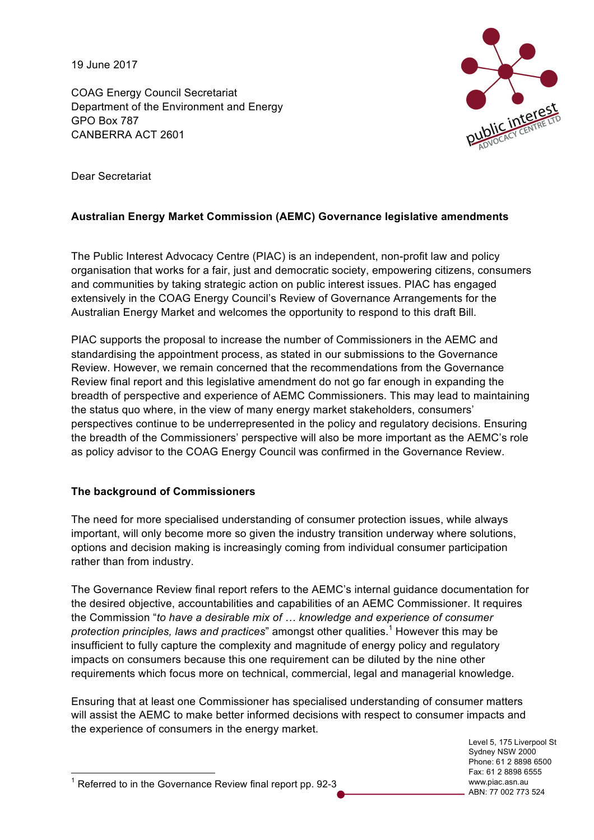19 June 2017

COAG Energy Council Secretariat Department of the Environment and Energy GPO Box 787 CANBERRA ACT 2601



Dear Secretariat

# **Australian Energy Market Commission (AEMC) Governance legislative amendments**

The Public Interest Advocacy Centre (PIAC) is an independent, non-profit law and policy organisation that works for a fair, just and democratic society, empowering citizens, consumers and communities by taking strategic action on public interest issues. PIAC has engaged extensively in the COAG Energy Council's Review of Governance Arrangements for the Australian Energy Market and welcomes the opportunity to respond to this draft Bill.

PIAC supports the proposal to increase the number of Commissioners in the AEMC and standardising the appointment process, as stated in our submissions to the Governance Review. However, we remain concerned that the recommendations from the Governance Review final report and this legislative amendment do not go far enough in expanding the breadth of perspective and experience of AEMC Commissioners. This may lead to maintaining the status quo where, in the view of many energy market stakeholders, consumers' perspectives continue to be underrepresented in the policy and regulatory decisions. Ensuring the breadth of the Commissioners' perspective will also be more important as the AEMC's role as policy advisor to the COAG Energy Council was confirmed in the Governance Review.

## **The background of Commissioners**

The need for more specialised understanding of consumer protection issues, while always important, will only become more so given the industry transition underway where solutions, options and decision making is increasingly coming from individual consumer participation rather than from industry.

The Governance Review final report refers to the AEMC's internal guidance documentation for the desired objective, accountabilities and capabilities of an AEMC Commissioner. It requires the Commission "*to have a desirable mix of … knowledge and experience of consumer protection principles, laws and practices*" amongst other qualities.<sup>1</sup> However this may be insufficient to fully capture the complexity and magnitude of energy policy and regulatory impacts on consumers because this one requirement can be diluted by the nine other requirements which focus more on technical, commercial, legal and managerial knowledge.

Ensuring that at least one Commissioner has specialised understanding of consumer matters will assist the AEMC to make better informed decisions with respect to consumer impacts and the experience of consumers in the energy market.

Level 5, 175 Liverpool St Sydney NSW 2000 Phone: 61 2 8898 6500 Fax: 61 2 8898 6555 www.piac.asn.au ABN: 77 002 773 524

 $1$  Referred to in the Governance Review final report pp. 92-3